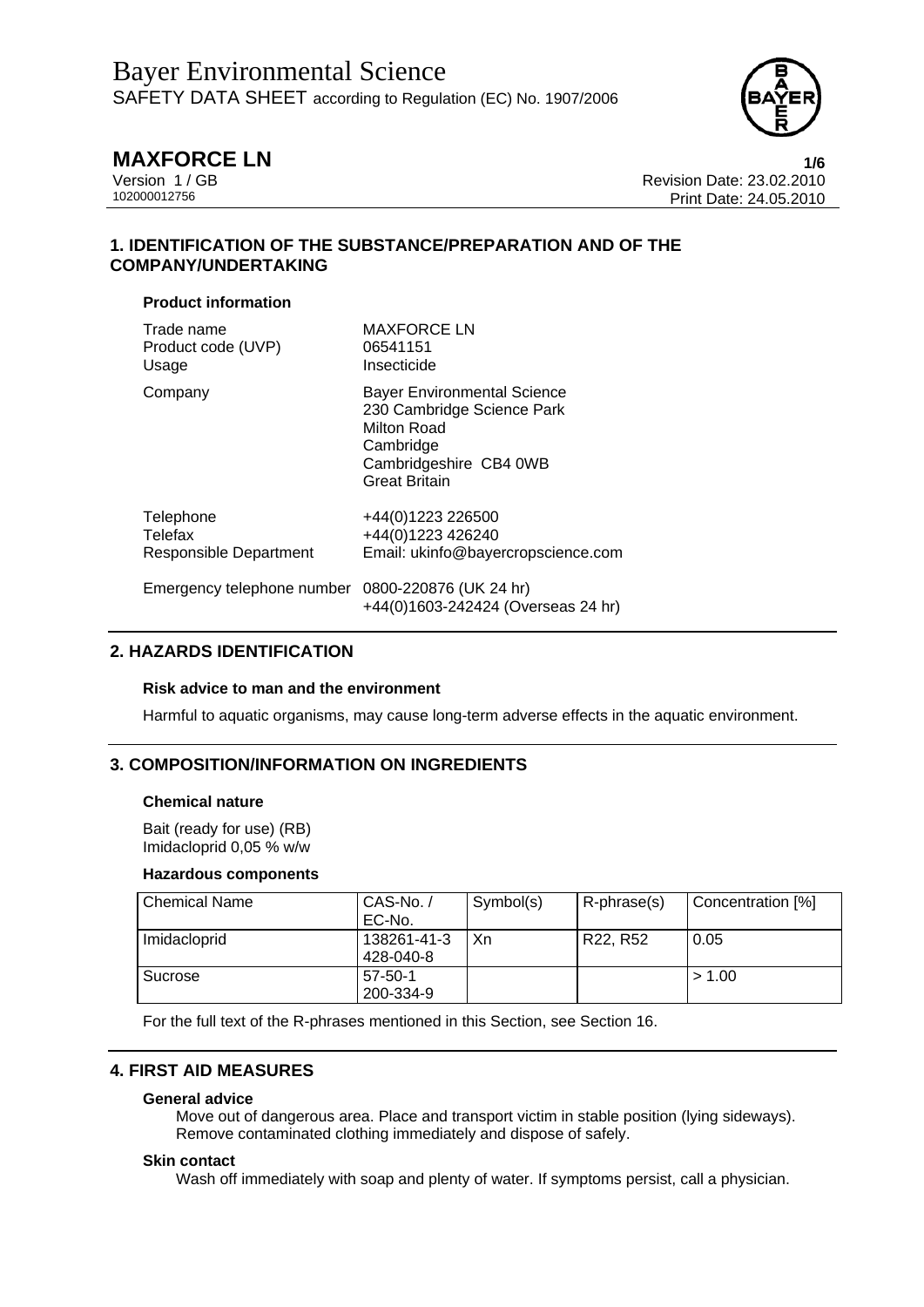

**MAXFORCE LN** 1/6<br>Version 1 / GB 108 123.02.2010 Version 1 / GB<br>102000012756<br>Print Date: 24.05.2010 Print Date: 24.05.2010

# **1. IDENTIFICATION OF THE SUBSTANCE/PREPARATION AND OF THE COMPANY/UNDERTAKING**

## **Product information**

| Trade name                 | <b>MAXFORCE LN</b>                                                                                                                             |
|----------------------------|------------------------------------------------------------------------------------------------------------------------------------------------|
| Product code (UVP)         | 06541151                                                                                                                                       |
| Usage                      | Insecticide                                                                                                                                    |
| Company                    | <b>Bayer Environmental Science</b><br>230 Cambridge Science Park<br>Milton Road<br>Cambridge<br>Cambridgeshire CB4 0WB<br><b>Great Britain</b> |
| Telephone                  | +44(0)1223 226500                                                                                                                              |
| Telefax                    | +44(0)1223 426240                                                                                                                              |
| Responsible Department     | Email: ukinfo@bayercropscience.com                                                                                                             |
| Emergency telephone number | 0800-220876 (UK 24 hr)<br>+44(0)1603-242424 (Overseas 24 hr)                                                                                   |

# **2. HAZARDS IDENTIFICATION**

## **Risk advice to man and the environment**

Harmful to aquatic organisms, may cause long-term adverse effects in the aquatic environment.

# **3. COMPOSITION/INFORMATION ON INGREDIENTS**

## **Chemical nature**

Bait (ready for use) (RB) Imidacloprid 0,05 % w/w

## **Hazardous components**

| Chemical Name | CAS-No./<br>EC-No.         | Symbol(s) | $\mathsf{R}\text{-phrase}(s)$ | Concentration [%] |
|---------------|----------------------------|-----------|-------------------------------|-------------------|
| Imidacloprid  | 138261-41-3<br>428-040-8   | Xn        | R22, R52                      | 0.05              |
| l Sucrose     | $57 - 50 - 1$<br>200-334-9 |           |                               | > 1.00            |

For the full text of the R-phrases mentioned in this Section, see Section 16.

# **4. FIRST AID MEASURES**

## **General advice**

Move out of dangerous area. Place and transport victim in stable position (lying sideways). Remove contaminated clothing immediately and dispose of safely.

## **Skin contact**

Wash off immediately with soap and plenty of water. If symptoms persist, call a physician.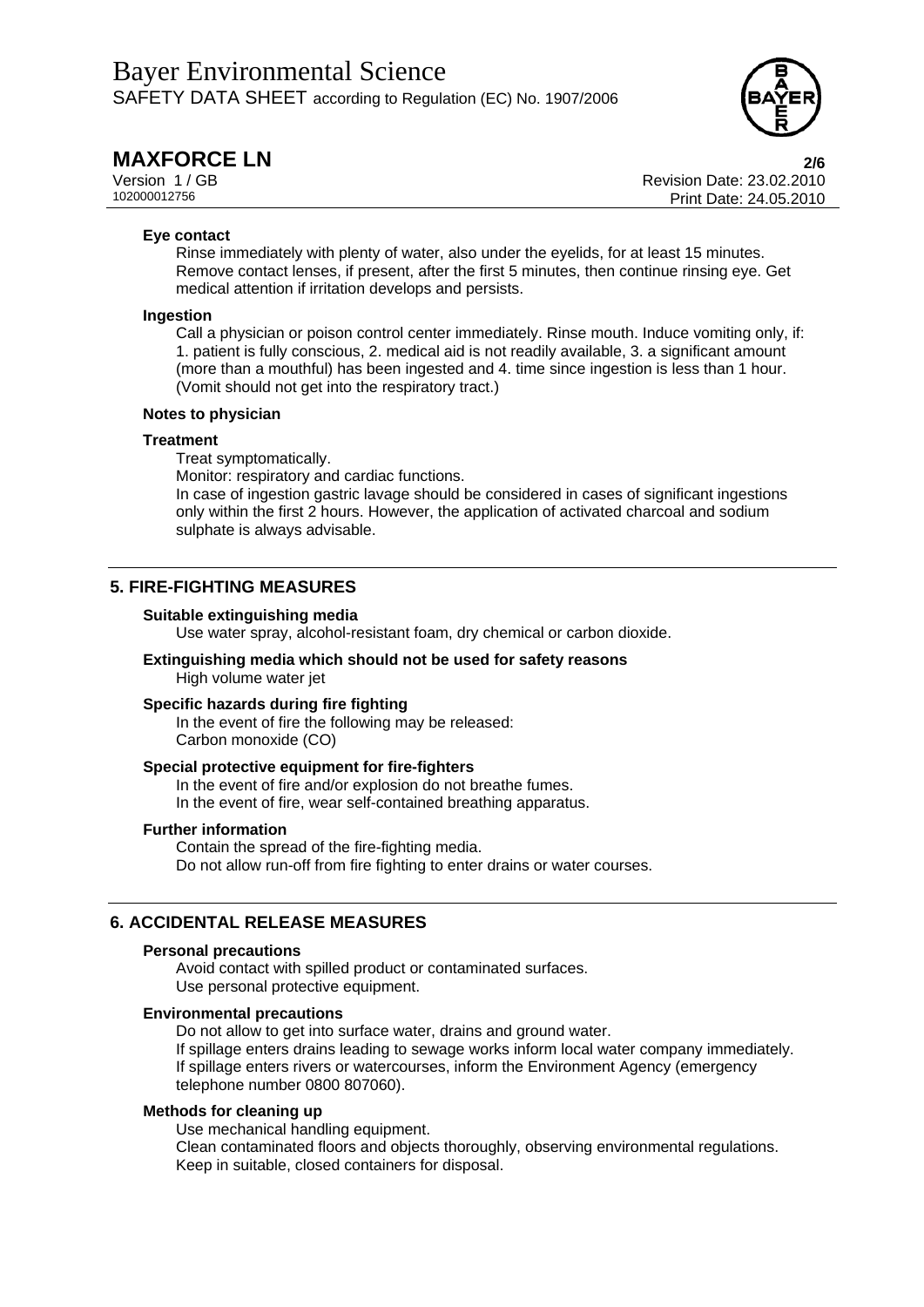

**MAXFORCE LN** 2/6<br>Version 1 / GB 23.02.2010 Version 1 / GB<br>102000012756<br>Print Date: 24.05.2010 Print Date: 24.05.2010

## **Eye contact**

Rinse immediately with plenty of water, also under the eyelids, for at least 15 minutes. Remove contact lenses, if present, after the first 5 minutes, then continue rinsing eye. Get medical attention if irritation develops and persists.

## **Ingestion**

Call a physician or poison control center immediately. Rinse mouth. Induce vomiting only, if: 1. patient is fully conscious, 2. medical aid is not readily available, 3. a significant amount (more than a mouthful) has been ingested and 4. time since ingestion is less than 1 hour. (Vomit should not get into the respiratory tract.)

## **Notes to physician**

## **Treatment**

Treat symptomatically.

Monitor: respiratory and cardiac functions.

In case of ingestion gastric lavage should be considered in cases of significant ingestions only within the first 2 hours. However, the application of activated charcoal and sodium sulphate is always advisable.

## **5. FIRE-FIGHTING MEASURES**

### **Suitable extinguishing media**

Use water spray, alcohol-resistant foam, dry chemical or carbon dioxide.

### **Extinguishing media which should not be used for safety reasons**  High volume water jet

## **Specific hazards during fire fighting**

In the event of fire the following may be released: Carbon monoxide (CO)

### **Special protective equipment for fire-fighters**

In the event of fire and/or explosion do not breathe fumes. In the event of fire, wear self-contained breathing apparatus.

## **Further information**

Contain the spread of the fire-fighting media. Do not allow run-off from fire fighting to enter drains or water courses.

## **6. ACCIDENTAL RELEASE MEASURES**

## **Personal precautions**

Avoid contact with spilled product or contaminated surfaces. Use personal protective equipment.

## **Environmental precautions**

Do not allow to get into surface water, drains and ground water. If spillage enters drains leading to sewage works inform local water company immediately. If spillage enters rivers or watercourses, inform the Environment Agency (emergency telephone number 0800 807060).

## **Methods for cleaning up**

Use mechanical handling equipment.

Clean contaminated floors and objects thoroughly, observing environmental regulations. Keep in suitable, closed containers for disposal.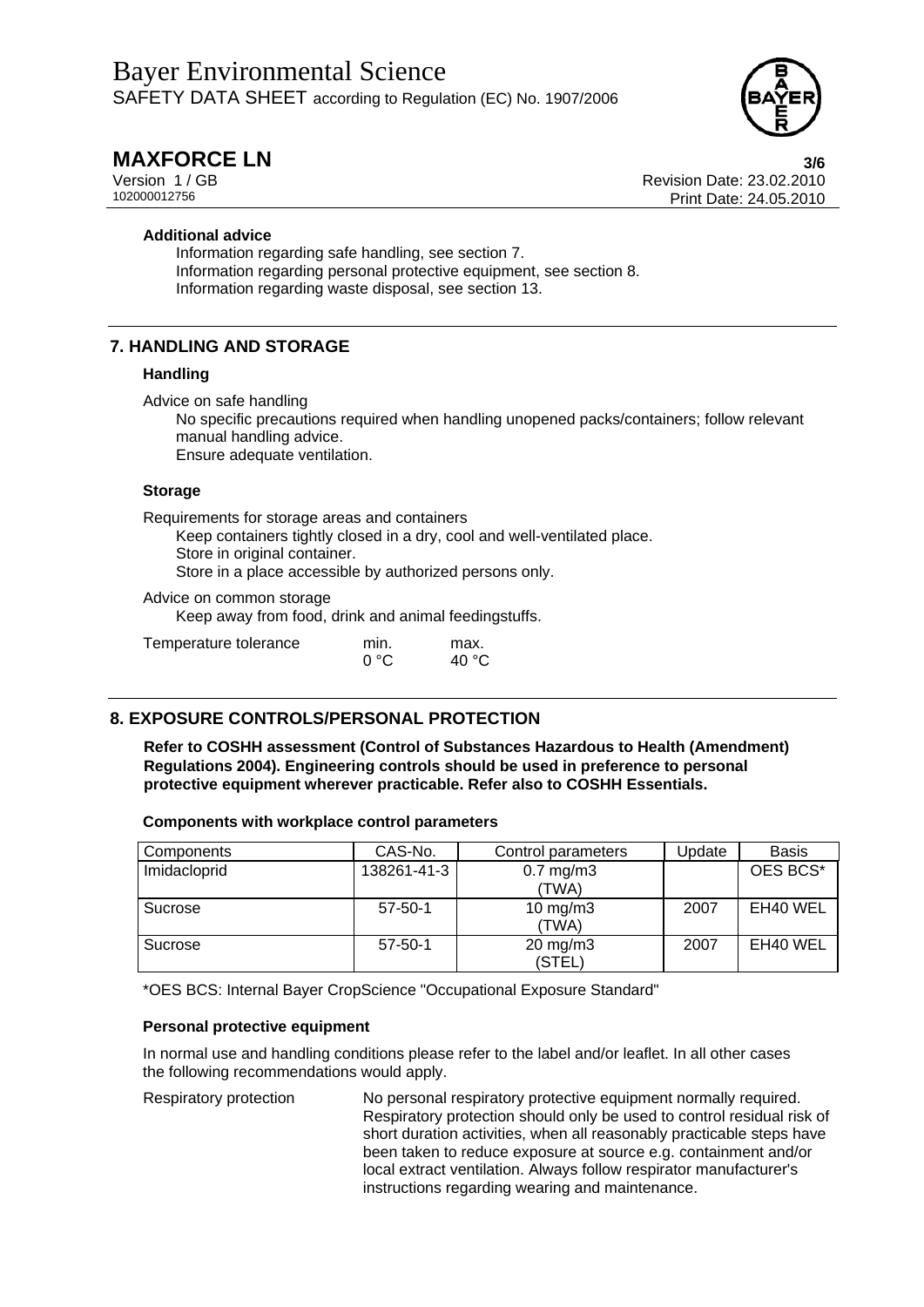

**MAXFORCE LN** 3/6<br>Version 1 / GB 88 23.02.2010 Version 1 / GB<br>102000012756<br>Print Date: 24.05.2010 Print Date: 24.05.2010

## **Additional advice**

Information regarding safe handling, see section 7. Information regarding personal protective equipment, see section 8. Information regarding waste disposal, see section 13.

# **7. HANDLING AND STORAGE**

## **Handling**

Advice on safe handling

No specific precautions required when handling unopened packs/containers; follow relevant manual handling advice. Ensure adequate ventilation.

### **Storage**

Requirements for storage areas and containers

Keep containers tightly closed in a dry, cool and well-ventilated place. Store in original container. Store in a place accessible by authorized persons only.

Advice on common storage

Keep away from food, drink and animal feedingstuffs.

| Temperature tolerance | min. | max.  |
|-----------------------|------|-------|
|                       | ∩°C  | 40 °C |

# **8. EXPOSURE CONTROLS/PERSONAL PROTECTION**

**Refer to COSHH assessment (Control of Substances Hazardous to Health (Amendment) Regulations 2004). Engineering controls should be used in preference to personal protective equipment wherever practicable. Refer also to COSHH Essentials.** 

## **Components with workplace control parameters**

| Components   | CAS-No.       | Control parameters            | Jpdate | <b>Basis</b> |
|--------------|---------------|-------------------------------|--------|--------------|
| Imidacloprid | 138261-41-3   | $0.7$ mg/m $3$<br>(TWA)       |        | OES BCS*     |
| Sucrose      | $57 - 50 - 1$ | 10 $mg/m3$<br>(TWA)           | 2007   | EH40 WEL     |
| Sucrose      | $57 - 50 - 1$ | $20 \text{ mg/m}$ 3<br>(STEL) | 2007   | EH40 WEL     |

\*OES BCS: Internal Bayer CropScience "Occupational Exposure Standard"

## **Personal protective equipment**

In normal use and handling conditions please refer to the label and/or leaflet. In all other cases the following recommendations would apply.

Respiratory protection No personal respiratory protective equipment normally required. Respiratory protection should only be used to control residual risk of short duration activities, when all reasonably practicable steps have been taken to reduce exposure at source e.g. containment and/or local extract ventilation. Always follow respirator manufacturer's instructions regarding wearing and maintenance.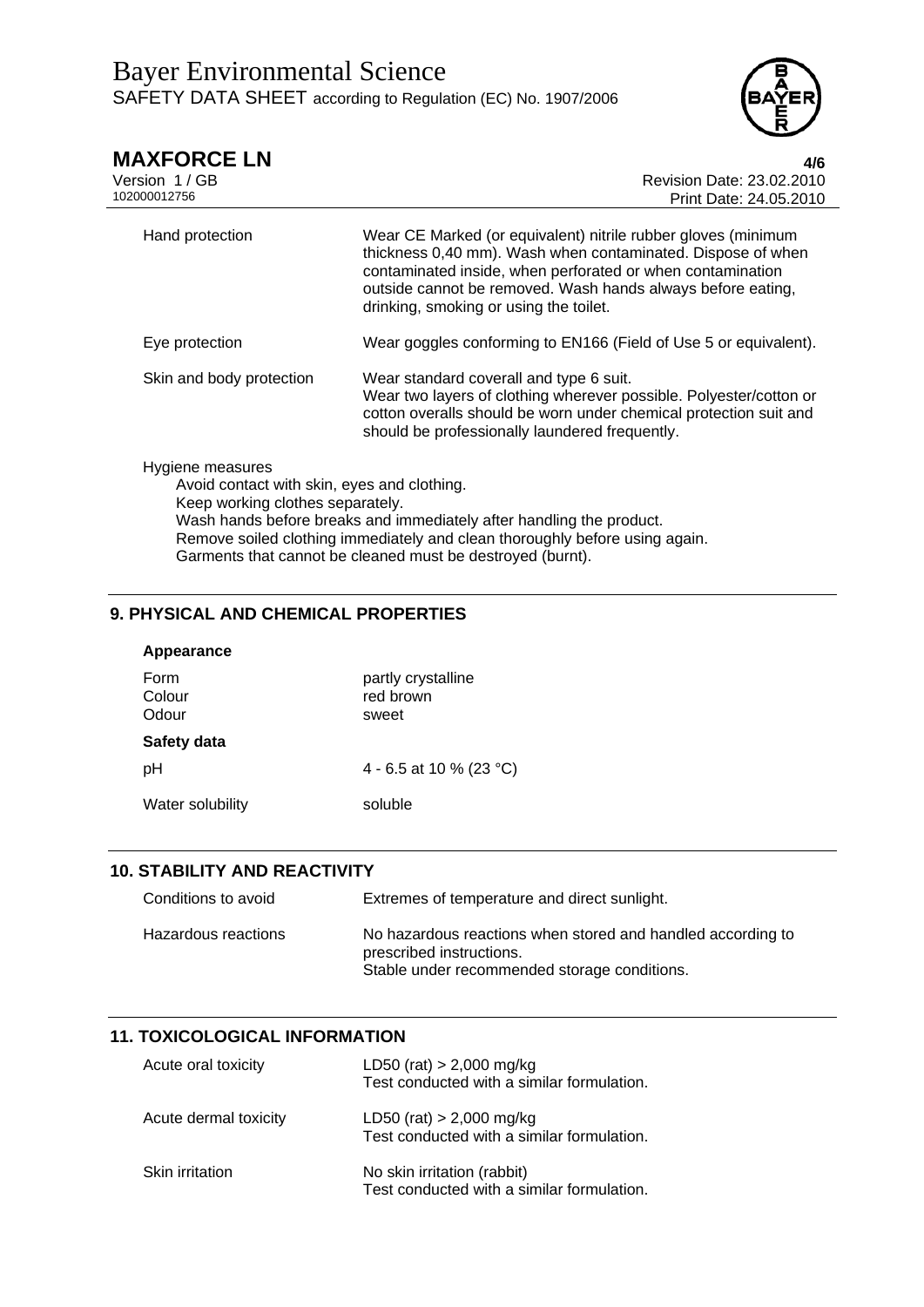

| <b>MAXFORCE LN</b><br>Version 1/GB<br>102000012756                                                  | 4/6<br>Revision Date: 23.02.2010<br>Print Date: 24.05.2010                                                                                                                                                                                                                                          |
|-----------------------------------------------------------------------------------------------------|-----------------------------------------------------------------------------------------------------------------------------------------------------------------------------------------------------------------------------------------------------------------------------------------------------|
| Hand protection                                                                                     | Wear CE Marked (or equivalent) nitrile rubber gloves (minimum<br>thickness 0,40 mm). Wash when contaminated. Dispose of when<br>contaminated inside, when perforated or when contamination<br>outside cannot be removed. Wash hands always before eating,<br>drinking, smoking or using the toilet. |
| Eye protection                                                                                      | Wear goggles conforming to EN166 (Field of Use 5 or equivalent).                                                                                                                                                                                                                                    |
| Skin and body protection                                                                            | Wear standard coverall and type 6 suit.<br>Wear two layers of clothing wherever possible. Polyester/cotton or<br>cotton overalls should be worn under chemical protection suit and<br>should be professionally laundered frequently.                                                                |
| Hygiene measures<br>Avoid contact with skin, eyes and clothing.<br>Keep working clothes separately. | Wash hands before breaks and immediately after handling the product.<br>Remove soiled clothing immediately and clean thoroughly before using again.<br>Garments that cannot be cleaned must be destroyed (burnt).                                                                                   |

# **9. PHYSICAL AND CHEMICAL PROPERTIES**

| Appearance              |                                          |
|-------------------------|------------------------------------------|
| Form<br>Colour<br>Odour | partly crystalline<br>red brown<br>sweet |
| Safety data             |                                          |
| pН                      | 4 - 6.5 at 10 % (23 °C)                  |
| Water solubility        | soluble                                  |
|                         |                                          |

# **10. STABILITY AND REACTIVITY**

| Conditions to avoid | Extremes of temperature and direct sunlight.                                                                                            |
|---------------------|-----------------------------------------------------------------------------------------------------------------------------------------|
| Hazardous reactions | No hazardous reactions when stored and handled according to<br>prescribed instructions.<br>Stable under recommended storage conditions. |

# **11. TOXICOLOGICAL INFORMATION**

| Acute oral toxicity   | LD50 (rat) $> 2,000$ mg/kg<br>Test conducted with a similar formulation.  |
|-----------------------|---------------------------------------------------------------------------|
| Acute dermal toxicity | LD50 (rat) $> 2,000$ mg/kg<br>Test conducted with a similar formulation.  |
| Skin irritation       | No skin irritation (rabbit)<br>Test conducted with a similar formulation. |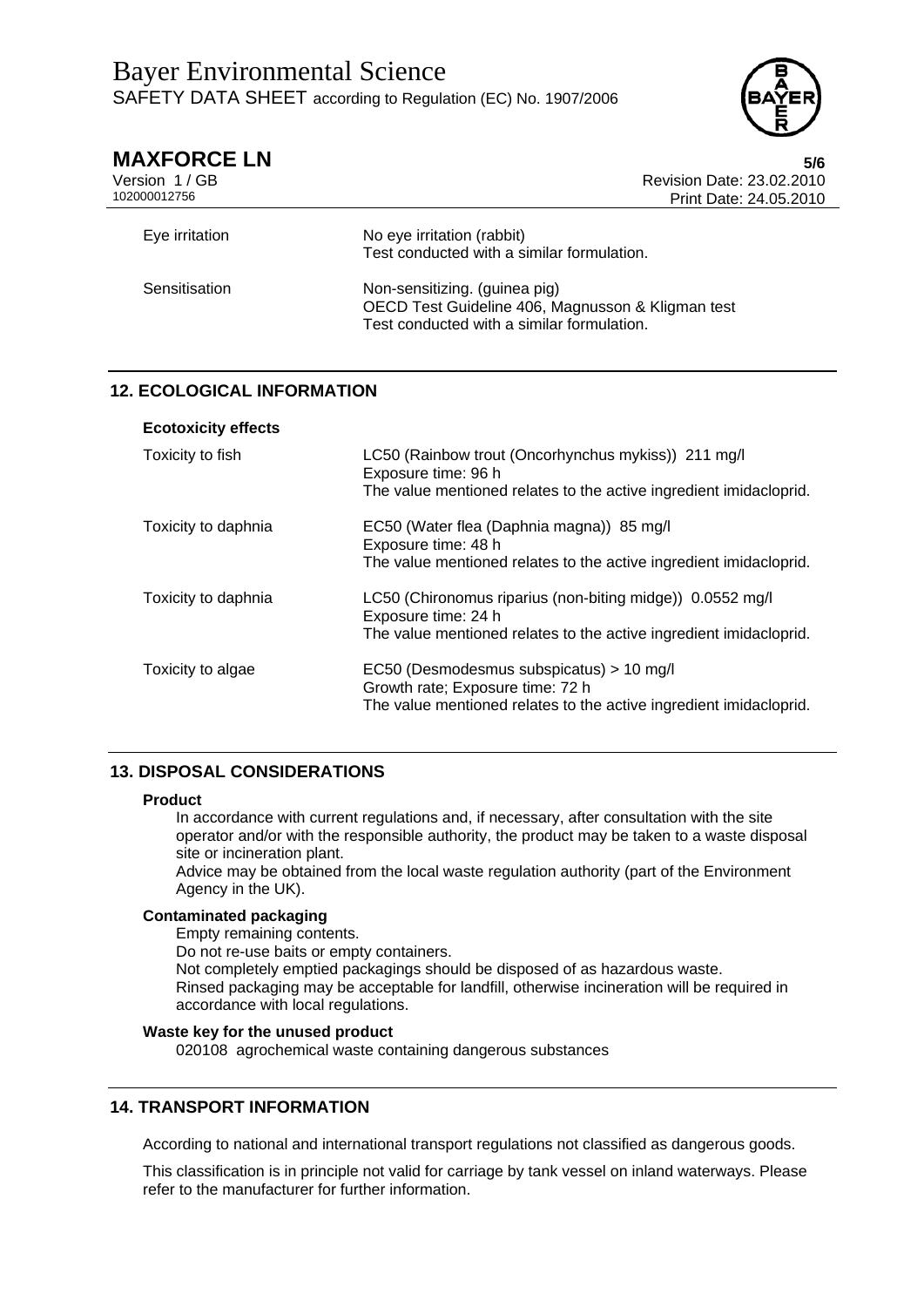

| <b>MAXFORCE LN</b><br>Version 1/GB<br>102000012756 | 5/6<br>Revision Date: 23.02.2010<br>Print Date: 24.05.2010                                                                       |
|----------------------------------------------------|----------------------------------------------------------------------------------------------------------------------------------|
| Eye irritation                                     | No eye irritation (rabbit)<br>Test conducted with a similar formulation.                                                         |
| Sensitisation                                      | Non-sensitizing. (guinea pig)<br>OECD Test Guideline 406, Magnusson & Kligman test<br>Test conducted with a similar formulation. |

# **12. ECOLOGICAL INFORMATION**

| <b>Ecotoxicity effects</b> |  |
|----------------------------|--|
|----------------------------|--|

| Toxicity to fish    | LC50 (Rainbow trout (Oncorhynchus mykiss)) 211 mg/l<br>Exposure time: 96 h<br>The value mentioned relates to the active ingredient imidacloprid.       |
|---------------------|--------------------------------------------------------------------------------------------------------------------------------------------------------|
| Toxicity to daphnia | EC50 (Water flea (Daphnia magna)) 85 mg/l<br>Exposure time: 48 h<br>The value mentioned relates to the active ingredient imidacloprid.                 |
| Toxicity to daphnia | LC50 (Chironomus riparius (non-biting midge)) 0.0552 mg/l<br>Exposure time: 24 h<br>The value mentioned relates to the active ingredient imidacloprid. |
| Toxicity to algae   | EC50 (Desmodesmus subspicatus) > 10 mg/l<br>Growth rate; Exposure time: 72 h<br>The value mentioned relates to the active ingredient imidacloprid.     |

## **13. DISPOSAL CONSIDERATIONS**

### **Product**

In accordance with current regulations and, if necessary, after consultation with the site operator and/or with the responsible authority, the product may be taken to a waste disposal site or incineration plant.

Advice may be obtained from the local waste regulation authority (part of the Environment Agency in the UK).

## **Contaminated packaging**

Empty remaining contents.

Do not re-use baits or empty containers.

Not completely emptied packagings should be disposed of as hazardous waste. Rinsed packaging may be acceptable for landfill, otherwise incineration will be required in accordance with local regulations.

## **Waste key for the unused product**

020108 agrochemical waste containing dangerous substances

## **14. TRANSPORT INFORMATION**

According to national and international transport regulations not classified as dangerous goods.

This classification is in principle not valid for carriage by tank vessel on inland waterways. Please refer to the manufacturer for further information.